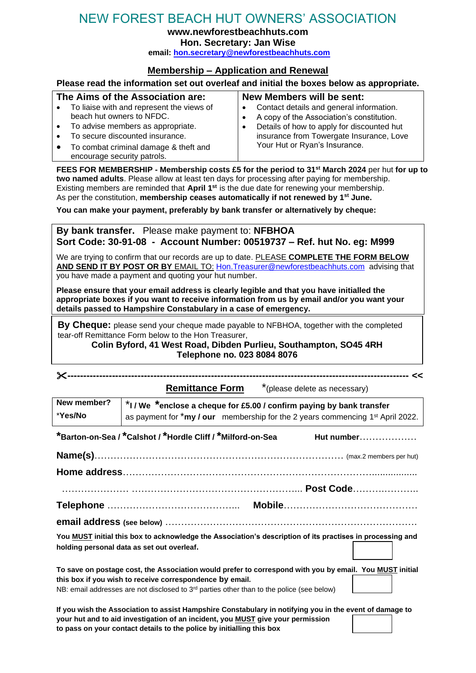## NEW FOREST BEACH HUT OWNERS' ASSOCIATION

**www.newforestbeachhuts.com**

**Hon. Secretary: Jan Wise**

**email: [hon.secretary@newforestbeachhuts.com](mailto:hon.secretary@newforestbeachhuts.com)**

## **Membership – Application and Renewal**

## **Please read the information set out overleaf and initial the boxes below as appropriate.**

| The Aims of the Association are:                                                                                                                                                                           | New Members will be sent:                                                                                                                                                                                          |
|------------------------------------------------------------------------------------------------------------------------------------------------------------------------------------------------------------|--------------------------------------------------------------------------------------------------------------------------------------------------------------------------------------------------------------------|
| • To liaise with and represent the views of<br>beach hut owners to NFDC.<br>• To advise members as appropriate.<br>• To secure discounted insurance.<br>To combat criminal damage & theft and<br>$\bullet$ | • Contact details and general information.<br>A copy of the Association's constitution.<br>Details of how to apply for discounted hut<br>insurance from Towergate Insurance, Love<br>Your Hut or Ryan's Insurance. |
| encourage security patrols.                                                                                                                                                                                |                                                                                                                                                                                                                    |

**FEES FOR MEMBERSHIP - Membership costs £5 for the period to 31st March 2024** per hut **for up to two named adults**. Please allow at least ten days for processing after paying for membership. Existing members are reminded that **April 1st** is the due date for renewing your membership. As per the constitution, **membership ceases automatically if not renewed by 1st June.**

**You can make your payment, preferably by bank transfer or alternatively by cheque:**

**By bank transfer.** Please make payment to: **NFBHOA Sort Code: 30-91-08 - Account Number: 00519737 – Ref. hut No. eg: M999**

We are trying to confirm that our records are up to date. PLEASE **COMPLETE THE FORM BELOW AND SEND IT BY POST OR BY** EMAIL TO: [Hon.Treasurer@newforestbeachhuts.com](mailto:Hon.Treasurer@newforestbeachhuts.com) advising that you have made a payment and quoting your hut number.

**Please ensure that your email address is clearly legible and that you have initialled the appropriate boxes if you want to receive information from us by email and/or you want your details passed to Hampshire Constabulary in a case of emergency.**

 tear-off Remittance Form below to the Hon Treasurer, **By Cheque:** please send your cheque made payable to NFBHOA, together with the completed

**Colin Byford, 41 West Road, Dibden Purlieu, Southampton, SO45 4RH Telephone no. 023 8084 8076**

 $\overline{\phantom{a}}$ 

**----------------------------------------------------------------------------------------------------------- <<**

|                                                                                                                                                                                                     | *(please delete as necessary)<br><b>Remittance Form</b> |  |
|-----------------------------------------------------------------------------------------------------------------------------------------------------------------------------------------------------|---------------------------------------------------------|--|
| New member?<br>$*$ I / We $*$ enclose a cheque for £5.00 / confirm paying by bank transfer<br>*Yes/No<br>as payment for *my / our membership for the 2 years commencing 1 <sup>st</sup> April 2022. |                                                         |  |
| *Barton-on-Sea / *Calshot / *Hordle Cliff / *Milford-on-Sea<br>Hut number                                                                                                                           |                                                         |  |
|                                                                                                                                                                                                     |                                                         |  |
|                                                                                                                                                                                                     |                                                         |  |
|                                                                                                                                                                                                     |                                                         |  |

**Telephone** …………………………………... **Mobile**…………………………………… **email address (see below)** …………………………………………………………………….

**You MUST initial this box to acknowledge the Association's description of its practises in processing and holding personal data as set out overleaf.**

**To save on postage cost, the Association would prefer to correspond with you by email. You MUST initial this box if you wish to receive correspondence by email.** NB: email addresses are not disclosed to 3<sup>rd</sup> parties other than to the police (see below)

**If you wish the Association to assist Hampshire Constabulary in notifying you in the event of damage to your hut and to aid investigation of an incident, you MUST give your permission to pass on your contact details to the police by initialling this box**